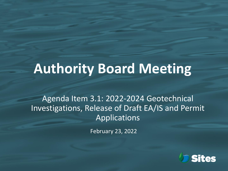# **Authority Board Meeting**

Agenda Item 3.1: 2022-2024 Geotechnical Investigations, Release of Draft EA/IS and Permit Applications

February 23, 2022

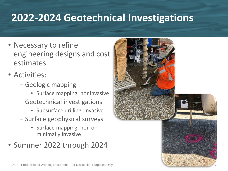# **2022-2024 Geotechnical Investigations**

- Necessary to refine engineering designs and cost estimates
- Activities:
	- − Geologic mapping
		- Surface mapping, noninvasive
	- − Geotechnical investigations
		- Subsurface drilling, invasive
	- − Surface geophysical surveys
		- Surface mapping, non or minimally invasive
- Summer 2022 through 2024

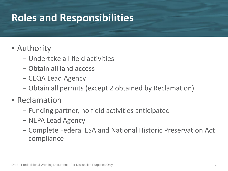## **Roles and Responsibilities**

#### • Authority

- − Undertake all field activities
- − Obtain all land access
- − CEQA Lead Agency
- − Obtain all permits (except 2 obtained by Reclamation)
- Reclamation
	- − Funding partner, no field activities anticipated
	- − NEPA Lead Agency
	- − Complete Federal ESA and National Historic Preservation Act compliance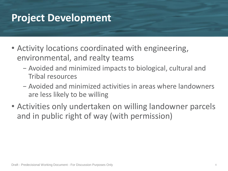#### **Project Development**

- Activity locations coordinated with engineering, environmental, and realty teams
	- − Avoided and minimized impacts to biological, cultural and Tribal resources
	- − Avoided and minimized activities in areas where landowners are less likely to be willing
- Activities only undertaken on willing landowner parcels and in public right of way (with permission)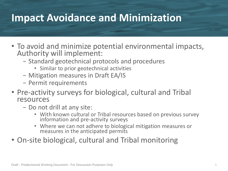#### **Impact Avoidance and Minimization**

- To avoid and minimize potential environmental impacts, Authority will implement:
	- − Standard geotechnical protocols and procedures
		- Similar to prior geotechnical activities
	- − Mitigation measures in Draft EA/IS
	- − Permit requirements
- Pre-activity surveys for biological, cultural and Tribal resources
	- − Do not drill at any site:
		- With known cultural or Tribal resources based on previous survey information and pre-activity surveys
		- Where we can not adhere to biological mitigation measures or measures in the anticipated permits
- On-site biological, cultural and Tribal monitoring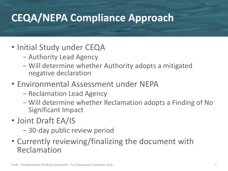# **CEQA/NEPA Compliance Approach**

- Initial Study under CEQA
	- − Authority Lead Agency
	- − Will determine whether Authority adopts a mitigated negative declaration
- Environmental Assessment under NEPA
	- − Reclamation Lead Agency
	- − Will determine whether Reclamation adopts a Finding of No Significant Impact
- Joint Draft EA/IS
	- − 30-day public review period
- Currently reviewing/finalizing the document with Reclamation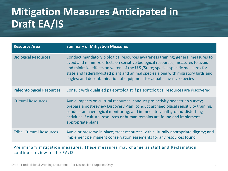# **Mitigation Measures Anticipated in Draft EA/IS**

| <b>Resource Area</b>             | <b>Summary of Mitigation Measures</b>                                                                                                                                                                                                                                                                                                                                                                               |
|----------------------------------|---------------------------------------------------------------------------------------------------------------------------------------------------------------------------------------------------------------------------------------------------------------------------------------------------------------------------------------------------------------------------------------------------------------------|
| <b>Biological Resources</b>      | Conduct mandatory biological resources awareness training; general measures to<br>avoid and minimize effects on sensitive biological resources; measures to avoid<br>and minimize effects on waters of the U.S./State; species specific measures for<br>state and federally-listed plant and animal species along with migratory birds and<br>eagles; and decontamination of equipment for aquatic invasive species |
| <b>Paleontological Resources</b> | Consult with qualified paleontologist if paleontological resources are discovered                                                                                                                                                                                                                                                                                                                                   |
| <b>Cultural Resources</b>        | Avoid impacts on cultural resources; conduct pre-activity pedestrian survey;<br>prepare a post-review Discovery Plan; conduct archaeological sensitivity training;<br>conduct archaeological monitoring; and immediately halt ground-disturbing<br>activities if cultural resources or human remains are found and implement<br>appropriate plans                                                                   |
| <b>Tribal Cultural Resources</b> | Avoid or preserve in place; treat resources with culturally appropriate dignity; and<br>implement permanent conservation easements for any resources found                                                                                                                                                                                                                                                          |

Preliminary mitigation measures. These measures may change as staff and Reclamation continue review of the EA/IS.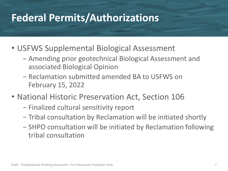### **Federal Permits/Authorizations**

- USFWS Supplemental Biological Assessment
	- − Amending prior geotechnical Biological Assessment and associated Biological Opinion
	- − Reclamation submitted amended BA to USFWS on February 15, 2022
- National Historic Preservation Act, Section 106
	- − Finalized cultural sensitivity report
	- − Tribal consultation by Reclamation will be initiated shortly
	- − SHPO consultation will be initiated by Reclamation following tribal consultation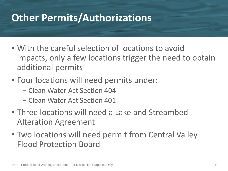## **Other Permits/Authorizations**

- With the careful selection of locations to avoid impacts, only a few locations trigger the need to obtain additional permits
- Four locations will need permits under:
	- − Clean Water Act Section 404
	- − Clean Water Act Section 401
- Three locations will need a Lake and Streambed Alteration Agreement
- Two locations will need permit from Central Valley Flood Protection Board